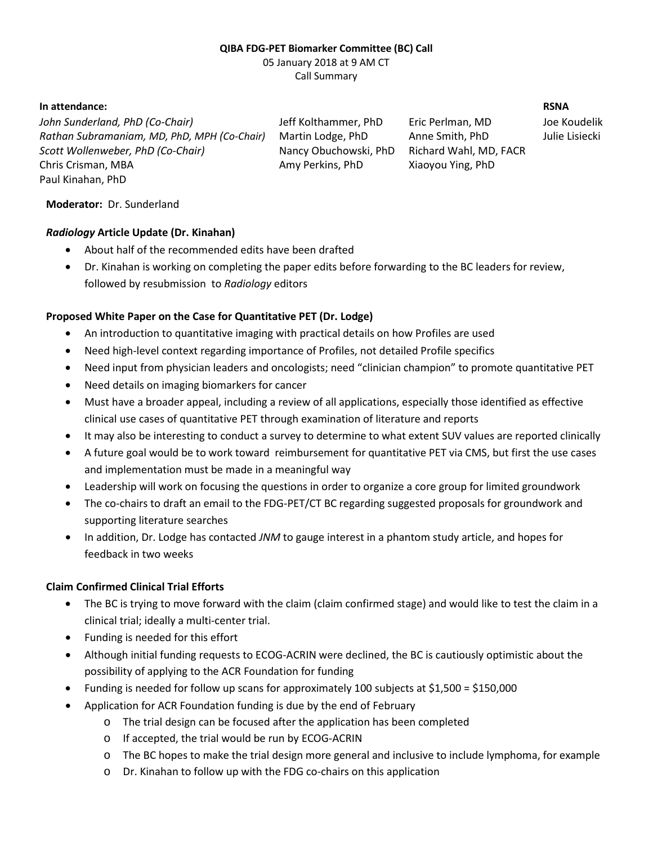# **QIBA FDG-PET Biomarker Committee (BC) Call**

05 January 2018 at 9 AM CT Call Summary

#### **In attendance: RSNA**

*John Sunderland, PhD (Co-Chair)* Jeff Kolthammer, PhD Eric Perlman, MD Joe Koudelik *Rathan Subramaniam, MD, PhD, MPH (Co-Chair)* Martin Lodge, PhD Anne Smith, PhD Julie Lisiecki *Scott Wollenweber, PhD (Co-Chair)* Nancy Obuchowski, PhD Richard Wahl, MD, FACR Chris Crisman, MBA Amy Perkins, PhD Xiaoyou Ying, PhD Paul Kinahan, PhD

### **Moderator:** Dr. Sunderland

## *Radiology* **Article Update (Dr. Kinahan)**

- About half of the recommended edits have been drafted
- Dr. Kinahan is working on completing the paper edits before forwarding to the BC leaders for review, followed by resubmission to *Radiology* editors

# **Proposed White Paper on the Case for Quantitative PET (Dr. Lodge)**

- An introduction to quantitative imaging with practical details on how Profiles are used
- Need high-level context regarding importance of Profiles, not detailed Profile specifics
- Need input from physician leaders and oncologists; need "clinician champion" to promote quantitative PET
- Need details on imaging biomarkers for cancer
- Must have a broader appeal, including a review of all applications, especially those identified as effective clinical use cases of quantitative PET through examination of literature and reports
- It may also be interesting to conduct a survey to determine to what extent SUV values are reported clinically
- A future goal would be to work toward reimbursement for quantitative PET via CMS, but first the use cases and implementation must be made in a meaningful way
- Leadership will work on focusing the questions in order to organize a core group for limited groundwork
- The co-chairs to draft an email to the FDG-PET/CT BC regarding suggested proposals for groundwork and supporting literature searches
- In addition, Dr. Lodge has contacted *JNM* to gauge interest in a phantom study article, and hopes for feedback in two weeks

### **Claim Confirmed Clinical Trial Efforts**

- The BC is trying to move forward with the claim (claim confirmed stage) and would like to test the claim in a clinical trial; ideally a multi-center trial.
- Funding is needed for this effort
- Although initial funding requests to ECOG-ACRIN were declined, the BC is cautiously optimistic about the possibility of applying to the ACR Foundation for funding
- Funding is needed for follow up scans for approximately 100 subjects at \$1,500 = \$150,000
- Application for ACR Foundation funding is due by the end of February
	- o The trial design can be focused after the application has been completed
	- o If accepted, the trial would be run by ECOG-ACRIN
	- o The BC hopes to make the trial design more general and inclusive to include lymphoma, for example
	- o Dr. Kinahan to follow up with the FDG co-chairs on this application